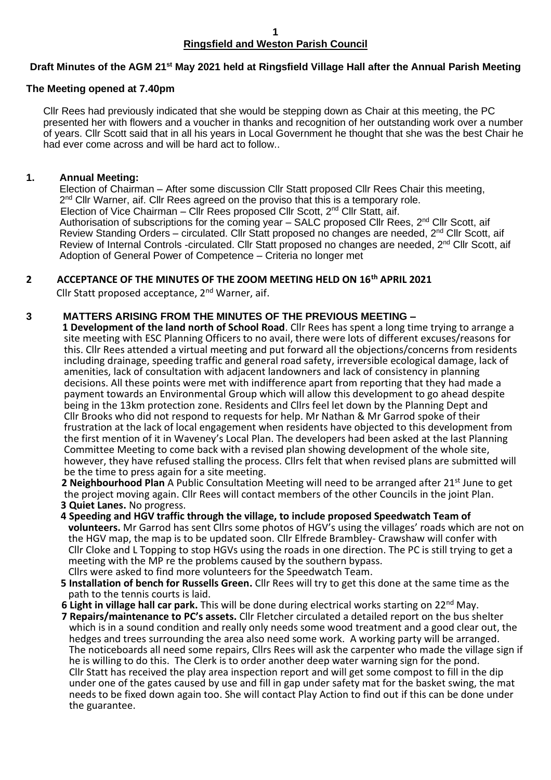#### **1 Ringsfield and Weston Parish Council**

#### **Draft Minutes of the AGM 21st May 2021 held at Ringsfield Village Hall after the Annual Parish Meeting**

#### **The Meeting opened at 7.40pm**

 Cllr Rees had previously indicated that she would be stepping down as Chair at this meeting, the PC presented her with flowers and a voucher in thanks and recognition of her outstanding work over a number of years. Cllr Scott said that in all his years in Local Government he thought that she was the best Chair he had ever come across and will be hard act to follow..

### **1. Annual Meeting:**

Election of Chairman – After some discussion Cllr Statt proposed Cllr Rees Chair this meeting, 2<sup>nd</sup> Cllr Warner, aif. Cllr Rees agreed on the proviso that this is a temporary role. Election of Vice Chairman – Cllr Rees proposed Cllr Scott, 2<sup>nd</sup> Cllr Statt, aif. Authorisation of subscriptions for the coming year  $-$  SALC proposed Cllr Rees,  $2^{nd}$  Cllr Scott, aif Review Standing Orders – circulated. Cllr Statt proposed no changes are needed, 2<sup>nd</sup> Cllr Scott, aif Review of Internal Controls -circulated. Cllr Statt proposed no changes are needed, 2<sup>nd</sup> Cllr Scott, aif Adoption of General Power of Competence – Criteria no longer met

# **2 ACCEPTANCE OF THE MINUTES OF THE ZOOM MEETING HELD ON 16th APRIL 2021**

Cllr Statt proposed acceptance, 2<sup>nd</sup> Warner, aif.

#### **3 MATTERS ARISING FROM THE MINUTES OF THE PREVIOUS MEETING –**

**1 Development of the land north of School Road**. Cllr Rees has spent a long time trying to arrange a site meeting with ESC Planning Officers to no avail, there were lots of different excuses/reasons for this. Cllr Rees attended a virtual meeting and put forward all the objections/concerns from residents including drainage, speeding traffic and general road safety, irreversible ecological damage, lack of amenities, lack of consultation with adjacent landowners and lack of consistency in planning decisions. All these points were met with indifference apart from reporting that they had made a payment towards an Environmental Group which will allow this development to go ahead despite being in the 13km protection zone. Residents and Cllrs feel let down by the Planning Dept and Cllr Brooks who did not respond to requests for help. Mr Nathan & Mr Garrod spoke of their frustration at the lack of local engagement when residents have objected to this development from the first mention of it in Waveney's Local Plan. The developers had been asked at the last Planning Committee Meeting to come back with a revised plan showing development of the whole site, however, they have refused stalling the process. Cllrs felt that when revised plans are submitted will be the time to press again for a site meeting.

**2 Neighbourhood Plan** A Public Consultation Meeting will need to be arranged after 21<sup>st</sup> June to get the project moving again. Cllr Rees will contact members of the other Councils in the joint Plan. **3 Quiet Lanes.** No progress.

**4 Speeding and HGV traffic through the village, to include proposed Speedwatch Team of**

 **volunteers.** Mr Garrod has sent Cllrs some photos of HGV's using the villages' roads which are not on the HGV map, the map is to be updated soon. Cllr Elfrede Brambley- Crawshaw will confer with Cllr Cloke and L Topping to stop HGVs using the roads in one direction. The PC is still trying to get a meeting with the MP re the problems caused by the southern bypass.

- Cllrs were asked to find more volunteers for the Speedwatch Team.
- **5 Installation of bench for Russells Green.** Cllr Rees will try to get this done at the same time as the path to the tennis courts is laid.
- **6 Light in village hall car park.** This will be done during electrical works starting on 22nd May.
- **7 Repairs/maintenance to PC's assets.** Cllr Fletcher circulated a detailed report on the bus shelter which is in a sound condition and really only needs some wood treatment and a good clear out, the hedges and trees surrounding the area also need some work. A working party will be arranged. The noticeboards all need some repairs, Cllrs Rees will ask the carpenter who made the village sign if he is willing to do this. The Clerk is to order another deep water warning sign for the pond. Cllr Statt has received the play area inspection report and will get some compost to fill in the dip under one of the gates caused by use and fill in gap under safety mat for the basket swing, the mat needs to be fixed down again too. She will contact Play Action to find out if this can be done under the guarantee.